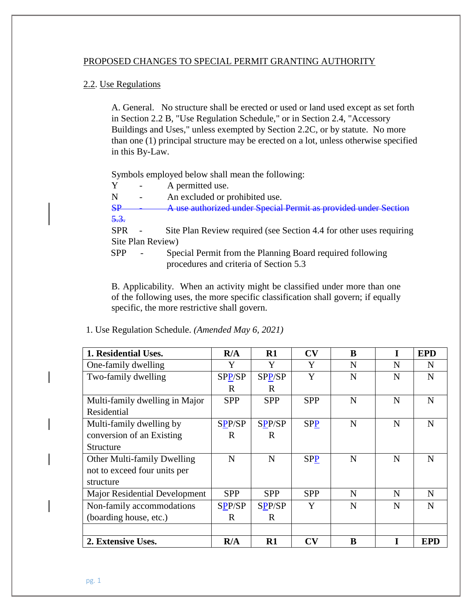## PROPOSED CHANGES TO SPECIAL PERMIT GRANTING AUTHORITY

## 2.2. Use Regulations

A. General. No structure shall be erected or used or land used except as set forth in Section 2.2 B, "Use Regulation Schedule," or in Section 2.4, "Accessory Buildings and Uses," unless exempted by Section 2.2C, or by statute. No more than one (1) principal structure may be erected on a lot, unless otherwise specified in this By-Law.

Symbols employed below shall mean the following:

Y - A permitted use.

N - An excluded or prohibited use.

SP - A use authorized under Special Permit as provided under Section 5.3.

SPR - Site Plan Review required (see Section 4.4 for other uses requiring Site Plan Review)

SPP - Special Permit from the Planning Board required following procedures and criteria of Section 5.3

B. Applicability. When an activity might be classified under more than one of the following uses, the more specific classification shall govern; if equally specific, the more restrictive shall govern.

| 1. Residential Uses.           | R/A           | $\mathbf{R}1$ | CV         | B | I           | <b>EPD</b> |
|--------------------------------|---------------|---------------|------------|---|-------------|------------|
| One-family dwelling            | Y             | Y             | Y          | N | N           | N          |
| Two-family dwelling            | SPP/SP        | SPP/SP        | Y          | N | $\mathbf N$ | N          |
|                                | $\mathbf R$   | $\mathbf R$   |            |   |             |            |
| Multi-family dwelling in Major | <b>SPP</b>    | <b>SPP</b>    | <b>SPP</b> | N | N           | N          |
| Residential                    |               |               |            |   |             |            |
| Multi-family dwelling by       | SPP/SP        | SPP/SP        | <b>SPP</b> | N | $\mathbf N$ | N          |
| conversion of an Existing      | $\mathbf R$   | $\mathbf R$   |            |   |             |            |
| Structure                      |               |               |            |   |             |            |
| Other Multi-family Dwelling    | N             | N             | <b>SPP</b> | N | N           | N          |
| not to exceed four units per   |               |               |            |   |             |            |
| structure                      |               |               |            |   |             |            |
| Major Residential Development  | <b>SPP</b>    | <b>SPP</b>    | <b>SPP</b> | N | N           | N          |
| Non-family accommodations      | <b>SPP/SP</b> | <b>SPP/SP</b> | Y          | N | $\mathbf N$ | N          |
| (boarding house, etc.)         | R             | $\mathbf R$   |            |   |             |            |
|                                |               |               |            |   |             |            |
| 2. Extensive Uses.             | R/A           | $R1$          | CV         | B |             | <b>EPD</b> |

1. Use Regulation Schedule. *(Amended May 6, 2021)*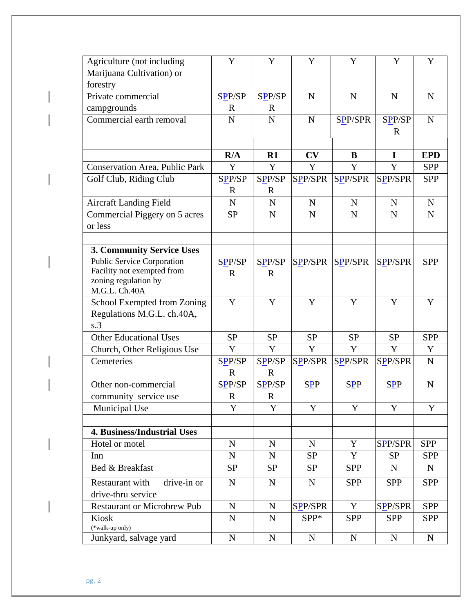| Agriculture (not including            | Y                     | Y                     | Y              | Y              | Y              | Y           |
|---------------------------------------|-----------------------|-----------------------|----------------|----------------|----------------|-------------|
| Marijuana Cultivation) or             |                       |                       |                |                |                |             |
| forestry                              |                       |                       |                |                |                |             |
| Private commercial                    | SPP/SP                | SPP/SP                | $\mathbf N$    | $\mathbf N$    | $\mathbf N$    | N           |
| campgrounds                           | $\mathbb{R}$          | $\mathbf R$           |                |                |                |             |
| Commercial earth removal              | N                     | $\mathbf N$           | $\mathbf N$    | SPP/SPR        | SPP/SP         | N           |
|                                       |                       |                       |                |                | $\mathbf R$    |             |
|                                       |                       |                       |                |                |                |             |
|                                       | R/A                   | R1                    | CV             | B              | I              | <b>EPD</b>  |
| <b>Conservation Area, Public Park</b> | Y                     | Y                     | Y              | Y              | Y              | <b>SPP</b>  |
| Golf Club, Riding Club                | SPP/SP<br>$\mathbf R$ | SPP/SP<br>$\mathbf R$ | SPP/SPR        | <b>SPP/SPR</b> | <b>SPP/SPR</b> | <b>SPP</b>  |
| <b>Aircraft Landing Field</b>         | $\mathbf N$           | $\mathbf N$           | $\mathbf N$    | $\mathbf N$    | $\mathbf N$    | $\mathbf N$ |
| Commercial Piggery on 5 acres         | <b>SP</b>             | $\mathbf N$           | $\mathbf N$    | $\mathbf N$    | $\mathbf N$    | $\mathbf N$ |
| or less                               |                       |                       |                |                |                |             |
|                                       |                       |                       |                |                |                |             |
| 3. Community Service Uses             |                       |                       |                |                |                |             |
| Public Service Corporation            | SPP/SP                | SPP/SP                | <b>SPP/SPR</b> | <b>SPP/SPR</b> | <b>SPP/SPR</b> | <b>SPP</b>  |
| Facility not exempted from            | $\mathbf R$           | $\mathbf R$           |                |                |                |             |
| zoning regulation by<br>M.G.L. Ch.40A |                       |                       |                |                |                |             |
| School Exempted from Zoning           | $\mathbf Y$           | Y                     | Y              | Y              | Y              | Y           |
| Regulations M.G.L. ch.40A,            |                       |                       |                |                |                |             |
| s.3                                   |                       |                       |                |                |                |             |
| <b>Other Educational Uses</b>         | <b>SP</b>             | <b>SP</b>             | <b>SP</b>      | <b>SP</b>      | <b>SP</b>      | <b>SPP</b>  |
| Church, Other Religious Use           | Y                     | Y                     | Y              | Y              | Y              | Y           |
| Cemeteries                            | SPP/SP                | SPP/SP                | <b>SPP/SPR</b> | SPP/SPR        | <b>SPP/SPR</b> | $\mathbf N$ |
|                                       | $\mathbf R$           | $\mathbf R$           |                |                |                |             |
| Other non-commercial                  | SPP/SP                | SPP/SP                | <b>SPP</b>     | $S_{\sqrt{2}}$ | <b>SPP</b>     | N           |
| community service use                 | $\mathbf R$           | $\mathbf R$           |                |                |                |             |
| Municipal Use                         | Y                     | Y                     | Y              | Y              | Y              | Y           |
|                                       |                       |                       |                |                |                |             |
| <b>4. Business/Industrial Uses</b>    |                       |                       |                |                |                |             |
| Hotel or motel                        | $\mathbf N$           | $\mathbf N$           | $\mathbf N$    | Y              | <b>SPP/SPR</b> | <b>SPP</b>  |
| Inn                                   | $\mathbf N$           | $\mathbf N$           | <b>SP</b>      | Y              | <b>SP</b>      | <b>SPP</b>  |
| Bed & Breakfast                       | <b>SP</b>             | <b>SP</b>             | <b>SP</b>      | <b>SPP</b>     | ${\bf N}$      | $\mathbf N$ |
| drive-in or<br>Restaurant with        | ${\bf N}$             | $\mathbf N$           | ${\bf N}$      | <b>SPP</b>     | <b>SPP</b>     | <b>SPP</b>  |
| drive-thru service                    |                       |                       |                |                |                |             |
| <b>Restaurant or Microbrew Pub</b>    | ${\bf N}$             | $\mathbf N$           | SPP/SPR        | $\mathbf Y$    | <b>SPP/SPR</b> | <b>SPP</b>  |
| Kiosk                                 | $\mathbf N$           | $\mathbf N$           | SPP*           | <b>SPP</b>     | <b>SPP</b>     | <b>SPP</b>  |
| (*walk-up only)                       |                       |                       |                |                |                |             |
| Junkyard, salvage yard                | $\mathbf N$           | $\mathbf N$           | ${\bf N}$      | ${\bf N}$      | $\mathbf N$    | $\mathbf N$ |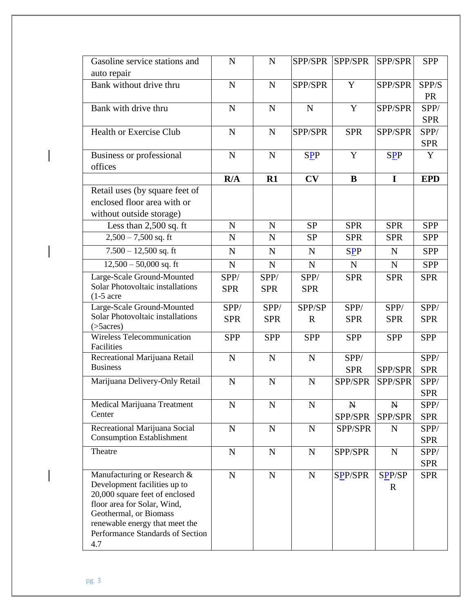| Gasoline service stations and<br>auto repair                                                                                                                                                                                        | $\mathbf N$ | $\mathbf N$ | SPP/SPR     | SPP/SPR        | SPP/SPR               | <b>SPP</b>         |
|-------------------------------------------------------------------------------------------------------------------------------------------------------------------------------------------------------------------------------------|-------------|-------------|-------------|----------------|-----------------------|--------------------|
| Bank without drive thru                                                                                                                                                                                                             | N           | $\mathbf N$ | SPP/SPR     | Y              | SPP/SPR               | SPP/S              |
|                                                                                                                                                                                                                                     |             |             |             |                |                       | <b>PR</b>          |
| Bank with drive thru                                                                                                                                                                                                                | $\mathbf N$ | $\mathbf N$ | $\mathbf N$ | Y              | SPP/SPR               | SPP/<br><b>SPR</b> |
| <b>Health or Exercise Club</b>                                                                                                                                                                                                      | $\mathbf N$ | $\mathbf N$ | SPP/SPR     | <b>SPR</b>     | SPP/SPR               | SPP/               |
|                                                                                                                                                                                                                                     |             |             |             |                |                       | <b>SPR</b>         |
| Business or professional<br>offices                                                                                                                                                                                                 | $\mathbf N$ | ${\bf N}$   | <b>SPP</b>  | Y              | <b>SPP</b>            | Y                  |
|                                                                                                                                                                                                                                     | R/A         | R1          | CV          | $\bf{B}$       | $\mathbf I$           | <b>EPD</b>         |
| Retail uses (by square feet of                                                                                                                                                                                                      |             |             |             |                |                       |                    |
| enclosed floor area with or                                                                                                                                                                                                         |             |             |             |                |                       |                    |
| without outside storage)                                                                                                                                                                                                            |             |             |             |                |                       |                    |
|                                                                                                                                                                                                                                     |             |             | <b>SP</b>   |                |                       |                    |
| Less than $2,500$ sq. ft                                                                                                                                                                                                            | $\mathbf N$ | $\mathbf N$ |             | <b>SPR</b>     | <b>SPR</b>            | <b>SPP</b>         |
| $2,500 - 7,500$ sq. ft                                                                                                                                                                                                              | N           | $\mathbf N$ | <b>SP</b>   | <b>SPR</b>     | <b>SPR</b>            | <b>SPP</b>         |
| $7.500 - 12{,}500$ sq. ft                                                                                                                                                                                                           | $\mathbf N$ | $\mathbf N$ | $\mathbf N$ | <b>SPP</b>     | $\mathbf N$           | <b>SPP</b>         |
| $12,500 - 50,000$ sq. ft                                                                                                                                                                                                            | $\mathbf N$ | $\mathbf N$ | $\mathbf N$ | $\mathbf N$    | ${\bf N}$             | <b>SPP</b>         |
| Large-Scale Ground-Mounted                                                                                                                                                                                                          | SPP/        | SPP/        | SPP/        | <b>SPR</b>     | <b>SPR</b>            | <b>SPR</b>         |
| Solar Photovoltaic installations<br>$(1-5)$ acre                                                                                                                                                                                    | <b>SPR</b>  | <b>SPR</b>  | <b>SPR</b>  |                |                       |                    |
| Large-Scale Ground-Mounted                                                                                                                                                                                                          | SPP/        | SPP/        | SPP/SP      | SPP/           | SPP/                  | SPP/               |
| Solar Photovoltaic installations<br>$($ >5 $acres)$                                                                                                                                                                                 | <b>SPR</b>  | <b>SPR</b>  | $\mathbf R$ | <b>SPR</b>     | <b>SPR</b>            | <b>SPR</b>         |
| Wireless Telecommunication<br>Facilities                                                                                                                                                                                            | <b>SPP</b>  | <b>SPP</b>  | <b>SPP</b>  | <b>SPP</b>     | <b>SPP</b>            | <b>SPP</b>         |
| Recreational Marijuana Retail                                                                                                                                                                                                       | N           | $\mathbf N$ | $\mathbf N$ | SPP/           |                       | SPP/               |
| <b>Business</b>                                                                                                                                                                                                                     |             |             |             | <b>SPR</b>     | SPP/SPR               | <b>SPR</b>         |
| Marijuana Delivery-Only Retail                                                                                                                                                                                                      | $\mathbf N$ | $\mathbf N$ | $\mathbf N$ | SPP/SPR        | SPP/SPR               | SPP/               |
|                                                                                                                                                                                                                                     |             |             |             |                |                       | <b>SPR</b>         |
| Medical Marijuana Treatment                                                                                                                                                                                                         | N           | N           | N           | N              | N                     | SPP/               |
| Center                                                                                                                                                                                                                              |             |             |             | SPP/SPR        | SPP/SPR               | <b>SPR</b>         |
| Recreational Marijuana Social                                                                                                                                                                                                       | $\mathbf N$ | ${\bf N}$   | $\mathbf N$ | SPP/SPR        | $\mathbf N$           | SPP/               |
| <b>Consumption Establishment</b>                                                                                                                                                                                                    |             |             |             |                |                       | <b>SPR</b>         |
| Theatre                                                                                                                                                                                                                             | $\mathbf N$ | ${\bf N}$   | $\mathbf N$ | SPP/SPR        | ${\bf N}$             | SPP/               |
|                                                                                                                                                                                                                                     |             |             |             |                |                       | <b>SPR</b>         |
| Manufacturing or Research &<br>Development facilities up to<br>20,000 square feet of enclosed<br>floor area for Solar, Wind,<br>Geothermal, or Biomass<br>renewable energy that meet the<br>Performance Standards of Section<br>4.7 | $\mathbf N$ | $\mathbf N$ | $\mathbf N$ | <b>SPP/SPR</b> | SPP/SP<br>$\mathbf R$ | <b>SPR</b>         |

 $\overline{\phantom{a}}$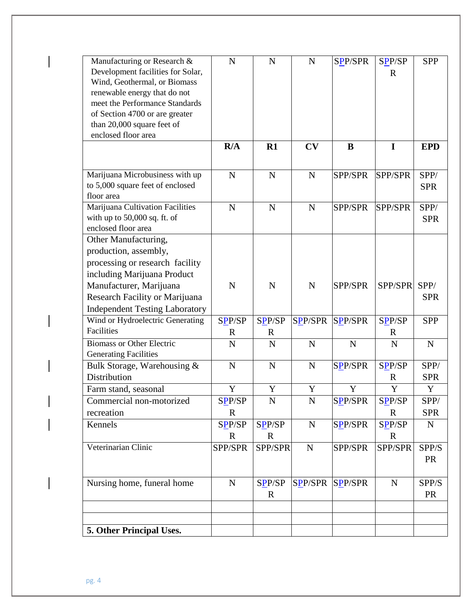| Manufacturing or Research &               | $\mathbf N$ | $\mathbf N$ | $\mathbf N$    | <b>SPP/SPR</b> | SPP/SP         | <b>SPP</b> |
|-------------------------------------------|-------------|-------------|----------------|----------------|----------------|------------|
| Development facilities for Solar,         |             |             |                |                | $\mathbb{R}$   |            |
| Wind, Geothermal, or Biomass              |             |             |                |                |                |            |
| renewable energy that do not              |             |             |                |                |                |            |
| meet the Performance Standards            |             |             |                |                |                |            |
| of Section 4700 or are greater            |             |             |                |                |                |            |
| than 20,000 square feet of                |             |             |                |                |                |            |
| enclosed floor area                       |             |             |                |                |                |            |
|                                           | R/A         | R1          | CV             | B              | $\mathbf I$    | <b>EPD</b> |
|                                           |             |             |                |                |                |            |
| Marijuana Microbusiness with up           | $\mathbf N$ | $\mathbf N$ | $\mathbf N$    | SPP/SPR        | <b>SPP/SPR</b> | SPP/       |
| to 5,000 square feet of enclosed          |             |             |                |                |                | <b>SPR</b> |
| floor area                                |             |             |                |                |                |            |
| Marijuana Cultivation Facilities          | $\mathbf N$ | $\mathbf N$ | $\mathbf N$    | SPP/SPR        | SPP/SPR        | SPP/       |
| with up to $50,000$ sq. ft. of            |             |             |                |                |                | <b>SPR</b> |
| enclosed floor area                       |             |             |                |                |                |            |
| Other Manufacturing,                      |             |             |                |                |                |            |
| production, assembly,                     |             |             |                |                |                |            |
| processing or research facility           |             |             |                |                |                |            |
| including Marijuana Product               |             |             |                |                |                |            |
| Manufacturer, Marijuana                   | $\mathbf N$ | $\mathbf N$ | N              | SPP/SPR        | SPP/SPR        | SPP/       |
| Research Facility or Marijuana            |             |             |                |                |                | <b>SPR</b> |
| <b>Independent Testing Laboratory</b>     |             |             |                |                |                |            |
| Wind or Hydroelectric Generating          | SPP/SP      | SPP/SP      | <b>SPP/SPR</b> | <b>SPP/SPR</b> | SPP/SP         | <b>SPP</b> |
| Facilities                                | $\mathbf R$ | $\mathbf R$ |                |                | $\mathbf R$    |            |
| <b>Biomass or Other Electric</b>          | $\mathbf N$ | $\mathbf N$ | $\mathbf N$    | $\mathbf N$    | $\mathbf N$    | N          |
| <b>Generating Facilities</b>              |             |             |                |                |                |            |
| Bulk Storage, Warehousing $\overline{\&}$ | $\mathbf N$ | $\mathbf N$ | $\mathbf N$    | SPP/SPR        | SPP/SP         | SPP/       |
| Distribution                              |             |             |                |                | $\mathbf R$    | <b>SPR</b> |
| Farm stand, seasonal                      | Y           | Y           | Y              | Y              | Y              | Y          |
| Commercial non-motorized                  | SPP/SP      | ${\bf N}$   | ${\bf N}$      | SPP/SPR        | SPP/SP         | SPP/       |
| recreation                                | $\mathbf R$ |             |                |                | R              | <b>SPR</b> |
| Kennels                                   | SPP/SP      | SPP/SP      | ${\bf N}$      | <b>SPP/SPR</b> | SPP/SP         | ${\bf N}$  |
|                                           | $\mathbf R$ | $\mathbf R$ |                |                | $\mathbf R$    |            |
| Veterinarian Clinic                       | SPP/SPR     | SPP/SPR     | $\mathbf N$    | SPP/SPR        | SPP/SPR        | SPP/S      |
|                                           |             |             |                |                |                | <b>PR</b>  |
|                                           |             |             |                |                |                |            |
| Nursing home, funeral home                | ${\bf N}$   | SPP/SP      | <b>SPP/SPR</b> | <b>SPP/SPR</b> | $\mathbf N$    | SPP/S      |
|                                           |             | $\mathbf R$ |                |                |                | <b>PR</b>  |
|                                           |             |             |                |                |                |            |
|                                           |             |             |                |                |                |            |
|                                           |             |             |                |                |                |            |
| 5. Other Principal Uses.                  |             |             |                |                |                |            |